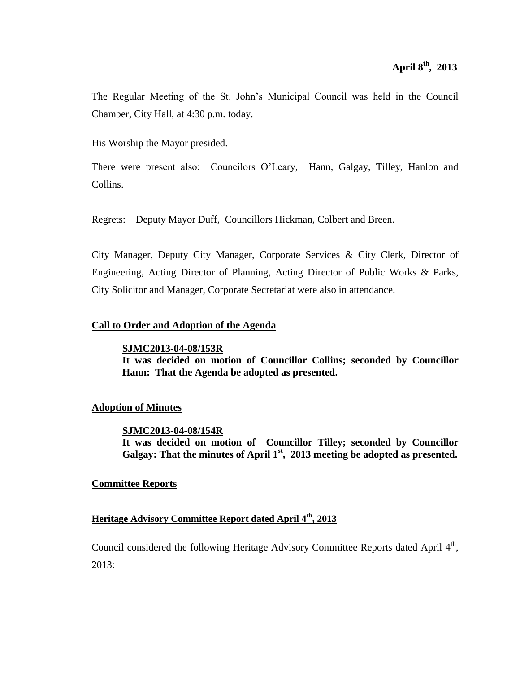The Regular Meeting of the St. John's Municipal Council was held in the Council Chamber, City Hall, at 4:30 p.m. today.

His Worship the Mayor presided.

There were present also: Councilors O'Leary, Hann, Galgay, Tilley, Hanlon and Collins.

Regrets: Deputy Mayor Duff, Councillors Hickman, Colbert and Breen.

City Manager, Deputy City Manager, Corporate Services & City Clerk, Director of Engineering, Acting Director of Planning, Acting Director of Public Works & Parks, City Solicitor and Manager, Corporate Secretariat were also in attendance.

### **Call to Order and Adoption of the Agenda**

**SJMC2013-04-08/153R It was decided on motion of Councillor Collins; seconded by Councillor Hann: That the Agenda be adopted as presented.**

# **Adoption of Minutes**

### **SJMC2013-04-08/154R**

**It was decided on motion of Councillor Tilley; seconded by Councillor Galgay: That the minutes of April 1st , 2013 meeting be adopted as presented.**

### **Committee Reports**

# **Heritage Advisory Committee Report dated April 4th, 2013**

Council considered the following Heritage Advisory Committee Reports dated April 4<sup>th</sup>, 2013: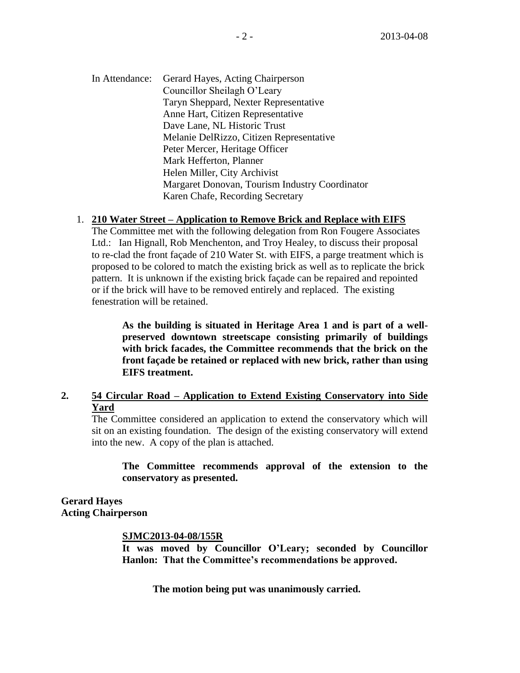In Attendance: Gerard Hayes, Acting Chairperson Councillor Sheilagh O'Leary Taryn Sheppard, Nexter Representative Anne Hart, Citizen Representative Dave Lane, NL Historic Trust Melanie DelRizzo, Citizen Representative Peter Mercer, Heritage Officer Mark Hefferton, Planner Helen Miller, City Archivist Margaret Donovan, Tourism Industry Coordinator Karen Chafe, Recording Secretary

### 1. **210 Water Street – Application to Remove Brick and Replace with EIFS**

The Committee met with the following delegation from Ron Fougere Associates Ltd.: Ian Hignall, Rob Menchenton, and Troy Healey, to discuss their proposal to re-clad the front façade of 210 Water St. with EIFS, a parge treatment which is proposed to be colored to match the existing brick as well as to replicate the brick pattern. It is unknown if the existing brick façade can be repaired and repointed or if the brick will have to be removed entirely and replaced. The existing fenestration will be retained.

**As the building is situated in Heritage Area 1 and is part of a wellpreserved downtown streetscape consisting primarily of buildings with brick facades, the Committee recommends that the brick on the front façade be retained or replaced with new brick, rather than using EIFS treatment.** 

# **2. 54 Circular Road – Application to Extend Existing Conservatory into Side Yard**

The Committee considered an application to extend the conservatory which will sit on an existing foundation. The design of the existing conservatory will extend into the new. A copy of the plan is attached.

**The Committee recommends approval of the extension to the conservatory as presented.**

**Gerard Hayes Acting Chairperson**

### **SJMC2013-04-08/155R**

**It was moved by Councillor O'Leary; seconded by Councillor Hanlon: That the Committee's recommendations be approved.**

**The motion being put was unanimously carried.**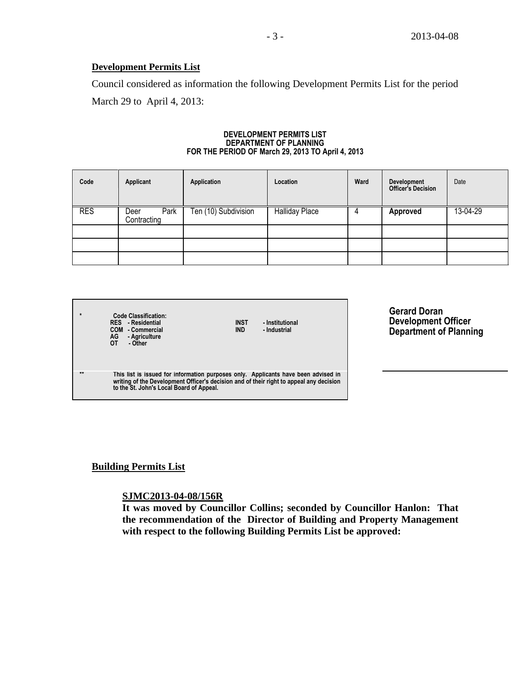# **Development Permits List**

Council considered as information the following Development Permits List for the period March 29 to April 4, 2013:

#### **DEVELOPMENT PERMITS LIST DEPARTMENT OF PLANNING FOR THE PERIOD OF March 29, 2013 TO April 4, 2013**

| Code       | Applicant                   | Application          | Location              | Ward | <b>Development</b><br><b>Officer's Decision</b> | Date     |
|------------|-----------------------------|----------------------|-----------------------|------|-------------------------------------------------|----------|
| <b>RES</b> | Park<br>Deer<br>Contracting | Ten (10) Subdivision | <b>Halliday Place</b> |      | <b>Approved</b>                                 | 13-04-29 |
|            |                             |                      |                       |      |                                                 |          |
|            |                             |                      |                       |      |                                                 |          |
|            |                             |                      |                       |      |                                                 |          |

|              | <b>Code Classification:</b><br><b>RES</b> - Residential<br>COM - Commercial<br>AG<br>- Agriculture<br>OТ<br>- Other                                                                                                       | <b>INST</b><br><b>IND</b> | - Institutional<br>- Industrial |
|--------------|---------------------------------------------------------------------------------------------------------------------------------------------------------------------------------------------------------------------------|---------------------------|---------------------------------|
| $\star\star$ | This list is issued for information purposes only. Applicants have been advised in<br>writing of the Development Officer's decision and of their right to appeal any decision<br>to the St. John's Local Board of Appeal. |                           |                                 |

**Gerard Doran Development Officer Department of Planning**

# **Building Permits List**

### **SJMC2013-04-08/156R**

**It was moved by Councillor Collins; seconded by Councillor Hanlon: That the recommendation of the Director of Building and Property Management with respect to the following Building Permits List be approved:**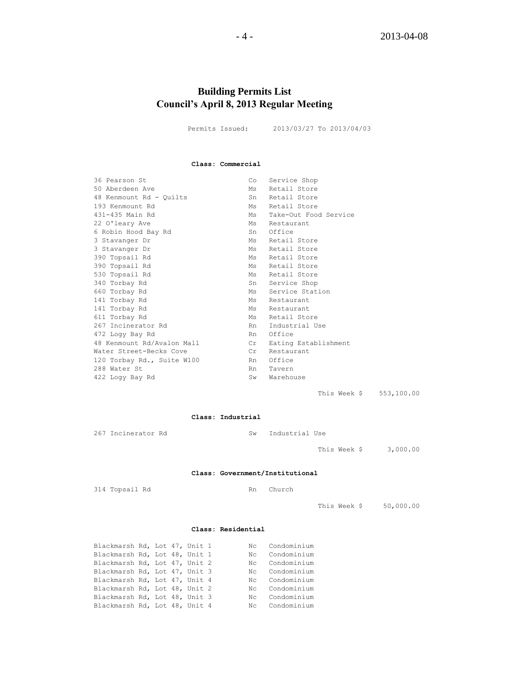# **Building Permits List Council's April 8, 2013 Regular Meeting**

Permits Issued: 2013/03/27 To 2013/04/03

#### **Class: Commercial**

| 36 Pearson St              | Co  | Service Shop          |
|----------------------------|-----|-----------------------|
| 50 Aberdeen Ave            | Ms  | Retail Store          |
| 48 Kenmount Rd - Quilts    | Sn  | Retail Store          |
| 193 Kenmount Rd            | Ms  | Retail Store          |
| 431-435 Main Rd            | Ms  | Take-Out Food Service |
| 22 O'leary Ave             | Ms  | Restaurant            |
| 6 Robin Hood Bay Rd        | Sn  | Office                |
| 3 Stavanger Dr             | Ms  | Retail Store          |
| 3 Stavanger Dr             | Ms  | Retail Store          |
| 390 Topsail Rd             | Ms  | Retail Store          |
| 390 Topsail Rd             | Ms  | Retail Store          |
| 530 Topsail Rd             | Ms  | Retail Store          |
| 340 Torbay Rd              | Sn  | Service Shop          |
| 660 Torbay Rd              | Ms  | Service Station       |
| 141 Torbay Rd              | Ms  | Restaurant            |
| 141 Torbay Rd              | Ms  | Restaurant            |
| 611 Torbay Rd              | Ms  | Retail Store          |
| 267 Incinerator Rd         | Rn  | Industrial Use        |
| 472 Logy Bay Rd            | Rn  | Office                |
| 48 Kenmount Rd/Avalon Mall | Cr  | Eating Establishment  |
| Water Street-Becks Cove    | Cr  | Restaurant            |
| 120 Torbay Rd., Suite W100 | Rn  | Office                |
| 288 Water St               | Rn  | Tavern                |
| 422 Logy Bay Rd            | Sw. | Warehouse             |
|                            |     |                       |

This Week \$ 553,100.00

#### **Class: Industrial**

| 267 | Incinerator I |  |
|-----|---------------|--|
|-----|---------------|--|

Rd Sw Industrial Use

This Week \$ 3,000.00

#### **Class: Government/Institutional**

314 Topsail Rd Rn Church

This Week \$ 50,000.00

#### **Class: Residential**

| Blackmarsh Rd, Lot 47, Unit 1 |  |  |    | Nc Condominium |
|-------------------------------|--|--|----|----------------|
| Blackmarsh Rd, Lot 48, Unit 1 |  |  | Nc | Condominium    |
| Blackmarsh Rd, Lot 47, Unit 2 |  |  |    | Nc Condominium |
| Blackmarsh Rd, Lot 47, Unit 3 |  |  |    | Nc Condominium |
| Blackmarsh Rd, Lot 47, Unit 4 |  |  |    | Nc Condominium |
| Blackmarsh Rd, Lot 48, Unit 2 |  |  |    | Nc Condominium |
| Blackmarsh Rd, Lot 48, Unit 3 |  |  |    | Nc Condominium |
| Blackmarsh Rd, Lot 48, Unit 4 |  |  |    | Nc Condominium |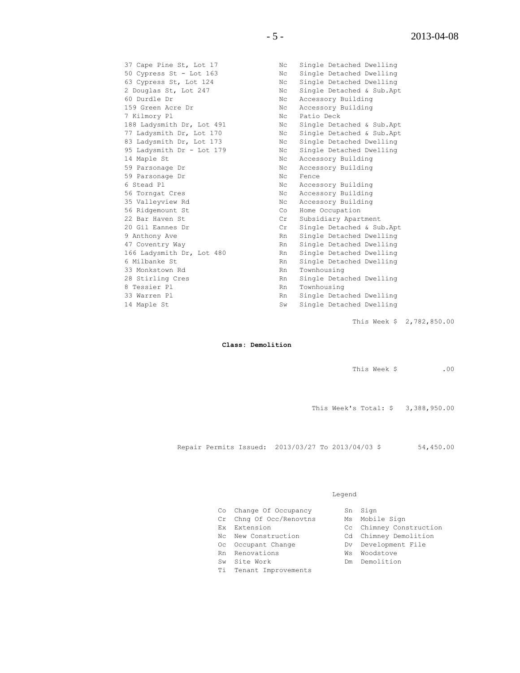60 Durdle Dr Nc Accessory Building 159 Green Acre Dr Nc Accessory Building 7 Kilmory Pl **No. 1988** Nc Patio Deck 14 Maple St No Recessory Building 59 Parsonage Dr Nc Accessory Building 59 Parsonage Dr<br>59 Parsonage Dr<br>59 Parsonage Dr<br>Nc Fence 6 Stead Pl Nc Accessory Building 56 Torngat Cres No. 2016 No. 2016 No. 2016 No. 2017 No. 2018 No. 2018 No. 2018 No 35 Valleyview Rd Nc Accessory Building 56 Ridgemount St Co Home Occupation 33 Monkstown Rd<br>28 Stirling Cres The Rn Single Detac 8 Tessier Pl **Rn** Townhousing

37 Cape Pine St, Lot 17 Nc Single Detached Dwelling 50 Cypress St - Lot 163 Nc Single Detached Dwelling 63 Cypress St, Lot 124 Nc Single Detached Dwelling 2 Douglas St, Lot 247 Nc Single Detached & Sub.Apt 188 Ladysmith Dr, Lot 491 Nc Single Detached & Sub.Apt 77 Ladysmith Dr, Lot 170 Nc Single Detached & Sub.Apt 83 Ladysmith Dr, Lot 173 Nc Single Detached Dwelling 95 Ladysmith Dr - Lot 179 Nc Single Detached Dwelling 22 Bar Haven St<br>
20 Gil Eannes Dr<br>
20 Gil Eannes Dr<br>
20 Gil Eannes Dr<br>
20 Gil Eannes Dr Cr Single Detached & Sub.Apt 9 Anthony Ave Rn Single Detached Dwelling<br>47 Coventry Way Rn Single Detached Dwelling Rn Single Detached Dwelling 166 Ladysmith Dr, Lot 480 Rn Single Detached Dwelling 6 Milbanke St **Rn** Single Detached Dwelling Rn Single Detached Dwelling 33 Warren Pl Rn Single Detached Dwelling 14 Maple St Sw Single Detached Dwelling

This Week \$ 2,782,850.00

#### **Class: Demolition**

This Week \$ .00

This Week's Total: \$ 3,388,950.00

Repair Permits Issued: 2013/03/27 To 2013/04/03 \$ 54,450.00

#### Legend

| Co Change Of Occupancy  | Sn Sign                 |
|-------------------------|-------------------------|
| Cr Chng Of Occ/Renovtns | Ms Mobile Sign          |
| Ex Extension            | Cc Chimney Construction |
| Nc New Construction     | Cd Chimney Demolition   |
| Oc Occupant Change      | Dv Development File     |
| Rn Renovations          | Ws Woodstove            |

- 
- 
- Ti Tenant Improvements
- 
- 
- Sw Site Work Dm Demolition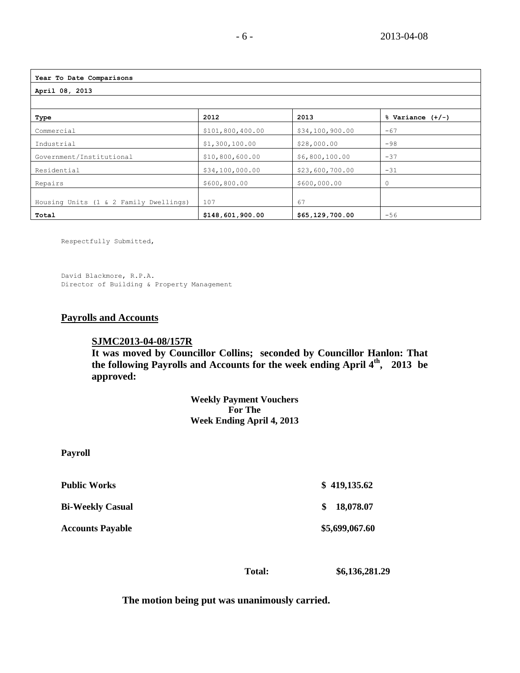| Year To Date Comparisons               |                  |                 |                      |  |  |
|----------------------------------------|------------------|-----------------|----------------------|--|--|
| April 08, 2013                         |                  |                 |                      |  |  |
|                                        |                  |                 |                      |  |  |
| Type                                   | 2012             | 2013            | $%$ Variance $(+/-)$ |  |  |
| Commercial                             | \$101,800,400.00 | \$34,100,900.00 | $-67$                |  |  |
| Industrial                             | \$1,300,100.00   | \$28,000.00     | $-98$                |  |  |
| Government/Institutional               | \$10,800,600.00  | \$6,800,100.00  | $-37$                |  |  |
| Residential                            | \$34,100,000.00  | \$23,600,700.00 | $-31$                |  |  |
| Repairs                                | \$600,800.00     | \$600,000.00    | $\mathbf 0$          |  |  |
| Housing Units (1 & 2 Family Dwellings) | 107              | 67              |                      |  |  |
| Total                                  | \$148,601,900.00 | \$65,129,700.00 | $-56$                |  |  |

Respectfully Submitted,

David Blackmore, R.P.A. Director of Building & Property Management

# **Payrolls and Accounts**

**Payroll**

### **SJMC2013-04-08/157R**

**It was moved by Councillor Collins; seconded by Councillor Hanlon: That the following Payrolls and Accounts for the week ending April 4th , 2013 be approved:** 

> **Weekly Payment Vouchers For The Week Ending April 4, 2013**

| <b>Public Works</b>     | \$419,135.62     |
|-------------------------|------------------|
| <b>Bi-Weekly Casual</b> | 18,078.07<br>SS. |
| <b>Accounts Payable</b> | \$5,699,067.60   |

 **Total: \$6,136,281.29**

**The motion being put was unanimously carried.**